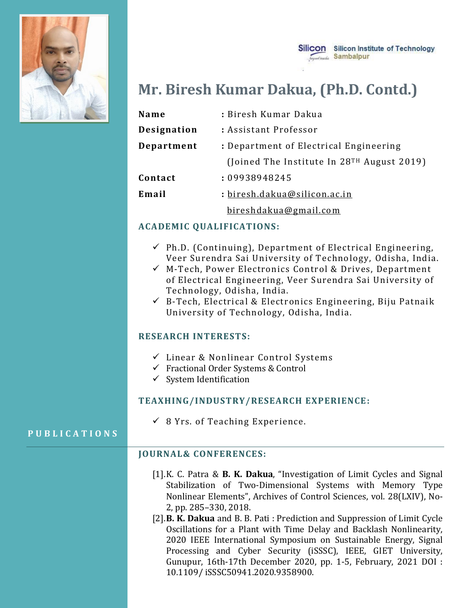

## Silicon Silicon Institute of Technology **Sambalpur**

# **Mr. Biresh Kumar Dakua, (Ph.D. Contd.)**

| Name        | : Biresh Kumar Dakua                         |
|-------------|----------------------------------------------|
| Designation | : Assistant Professor                        |
| Department  | : Department of Electrical Engineering       |
|             | (Joined The Institute In $28TH$ August 2019) |
| Contact     | : 09938948245                                |
| Email       | : biresh.dakua@silicon.ac.in                 |
|             | bireshdakua@gmail.com                        |

## **ACADEMIC QUALIFICATIONS:**

- $\checkmark$  Ph.D. (Continuing), Department of Electrical Engineering, Veer Surendra Sai University of Technology, Odisha, India.
- ✓ M-Tech, Power Electronics Control & Drives, Department of Electrical Engineering, Veer Surendra Sai University of Technology, Odisha, India.
- $\checkmark$  B-Tech, Electrical & Electronics Engineering, Biju Patnaik University of Technology, Odisha, India.

#### **RESEARCH INTERESTS:**

- ✓ Linear & Nonlinear Control Systems
- ✓ Fractional Order Systems & Control
- $\checkmark$  System Identification

#### **TEAXHING/INDUSTRY/RESEARCH EXPERIENCE:**

 $\checkmark$  8 Yrs. of Teaching Experience.

#### **P U B L I C A T I O N S**

#### **JOURNAL& CONFERENCES:**

- [1].K. C. Patra & **B. K. Dakua**, "Investigation of Limit Cycles and Signal Stabilization of Two-Dimensional Systems with Memory Type Nonlinear Elements", Archives of Control Sciences, vol. 28(LXIV), No-2, pp. 285–330, 2018.
- [2].**B. K. Dakua** and B. B. Pati : Prediction and Suppression of Limit Cycle Oscillations for a Plant with Time Delay and Backlash Nonlinearity, 2020 IEEE International Symposium on Sustainable Energy, Signal Processing and Cyber Security (iSSSC), IEEE, GIET University, Gunupur, 16th-17th December 2020, pp. 1-5, February, 2021 DOI : 10.1109/ iSSSC50941.2020.9358900.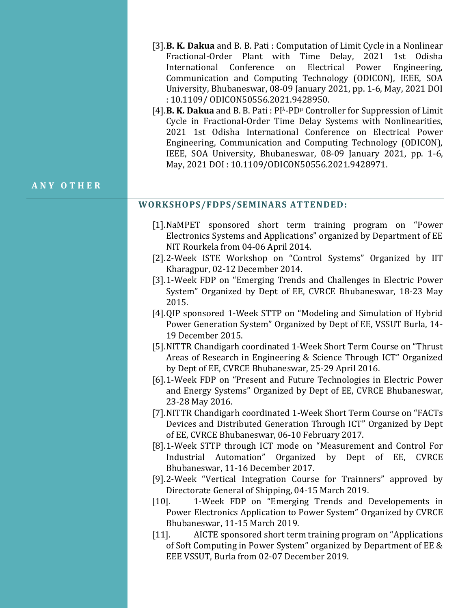- [3].**B. K. Dakua** and B. B. Pati : Computation of Limit Cycle in a Nonlinear Fractional-Order Plant with Time Delay, 2021 1st Odisha International Conference on Electrical Power Engineering, Communication and Computing Technology (ODICON), IEEE, SOA University, Bhubaneswar, 08-09 January 2021, pp. 1-6, May, 2021 DOI : 10.1109/ ODICON50556.2021.9428950.
- [4].**B. K. Dakua** and B. B. Pati: PI<sup> $\lambda$ </sup>-PD<sup>µ</sup> Controller for Suppression of Limit Cycle in Fractional-Order Time Delay Systems with Nonlinearities, 2021 1st Odisha International Conference on Electrical Power Engineering, Communication and Computing Technology (ODICON), IEEE, SOA University, Bhubaneswar, 08-09 January 2021, pp. 1-6, May, 2021 DOI : 10.1109/ODICON50556.2021.9428971.

#### **A N Y O T H E R**

#### **WORKSHOPS/FDPS/SEMINARS ATTENDED:**

- [1].NaMPET sponsored short term training program on "Power Electronics Systems and Applications" organized by Department of EE NIT Rourkela from 04-06 April 2014.
- [2].2-Week ISTE Workshop on "Control Systems" Organized by IIT Kharagpur, 02-12 December 2014.
- [3].1-Week FDP on "Emerging Trends and Challenges in Electric Power System" Organized by Dept of EE, CVRCE Bhubaneswar, 18-23 May 2015.
- [4].QIP sponsored 1-Week STTP on "Modeling and Simulation of Hybrid Power Generation System" Organized by Dept of EE, VSSUT Burla, 14- 19 December 2015.
- [5].NITTR Chandigarh coordinated 1-Week Short Term Course on "Thrust Areas of Research in Engineering & Science Through ICT" Organized by Dept of EE, CVRCE Bhubaneswar, 25-29 April 2016.
- [6].1-Week FDP on "Present and Future Technologies in Electric Power and Energy Systems" Organized by Dept of EE, CVRCE Bhubaneswar, 23-28 May 2016.
- [7].NITTR Chandigarh coordinated 1-Week Short Term Course on "FACTs Devices and Distributed Generation Through ICT" Organized by Dept of EE, CVRCE Bhubaneswar, 06-10 February 2017.
- [8].1-Week STTP through ICT mode on "Measurement and Control For Industrial Automation" Organized by Dept of EE, CVRCE Bhubaneswar, 11-16 December 2017.
- [9].2-Week "Vertical Integration Course for Trainners" approved by Directorate General of Shipping, 04-15 March 2019.
- [10]. 1-Week FDP on "Emerging Trends and Developements in Power Electronics Application to Power System" Organized by CVRCE Bhubaneswar, 11-15 March 2019.
- [11]. AICTE sponsored short term training program on "Applications of Soft Computing in Power System" organized by Department of EE & EEE VSSUT, Burla from 02-07 December 2019.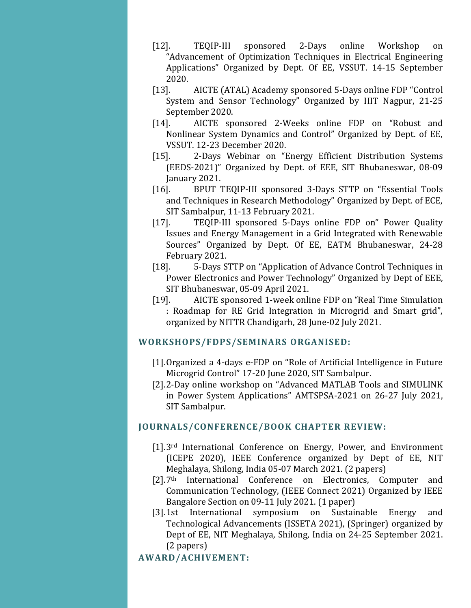- [12]. TEQIP-III sponsored 2-Days online Workshop on "Advancement of Optimization Techniques in Electrical Engineering Applications" Organized by Dept. Of EE, VSSUT. 14-15 September 2020.
- [13]. AICTE (ATAL) Academy sponsored 5-Days online FDP "Control System and Sensor Technology" Organized by IIIT Nagpur, 21-25 September 2020.
- [14]. AICTE sponsored 2-Weeks online FDP on "Robust and Nonlinear System Dynamics and Control" Organized by Dept. of EE, VSSUT. 12-23 December 2020.
- [15]. 2-Days Webinar on "Energy Efficient Distribution Systems (EEDS-2021)" Organized by Dept. of EEE, SIT Bhubaneswar, 08-09 January 2021.
- [16]. BPUT TEQIP-III sponsored 3-Days STTP on "Essential Tools and Techniques in Research Methodology" Organized by Dept. of ECE, SIT Sambalpur, 11-13 February 2021.
- [17]. TEQIP-III sponsored 5-Days online FDP on" Power Quality Issues and Energy Management in a Grid Integrated with Renewable Sources" Organized by Dept. Of EE, EATM Bhubaneswar, 24-28 February 2021.
- [18]. 5-Days STTP on "Application of Advance Control Techniques in Power Electronics and Power Technology" Organized by Dept of EEE, SIT Bhubaneswar, 05-09 April 2021.
- [19]. AICTE sponsored 1-week online FDP on "Real Time Simulation : Roadmap for RE Grid Integration in Microgrid and Smart grid", organized by NITTR Chandigarh, 28 June-02 July 2021.

## **WORKSHOPS/FDPS/SEMINARS ORGANISED:**

- [1].Organized a 4-days e-FDP on "Role of Artificial Intelligence in Future Microgrid Control" 17-20 June 2020, SIT Sambalpur.
- [2].2-Day online workshop on "Advanced MATLAB Tools and SIMULINK in Power System Applications" AMTSPSA-2021 on 26-27 July 2021, SIT Sambalpur.

## **JOURNALS/CONFERENCE/BOOK CHAPTER REVIEW:**

- [1].3rd International Conference on Energy, Power, and Environment (ICEPE 2020), IEEE Conference organized by Dept of EE, NIT Meghalaya, Shilong, India 05-07 March 2021. (2 papers)
- [2].7<sup>th</sup> International Conference on Electronics, Computer and Communication Technology, (IEEE Connect 2021) Organized by IEEE Bangalore Section on 09-11 July 2021. (1 paper)
- [3].1st International symposium on Sustainable Energy and Technological Advancements (ISSETA 2021), (Springer) organized by Dept of EE, NIT Meghalaya, Shilong, India on 24-25 September 2021. (2 papers)

# **AWARD/ACHIVEMENT:**